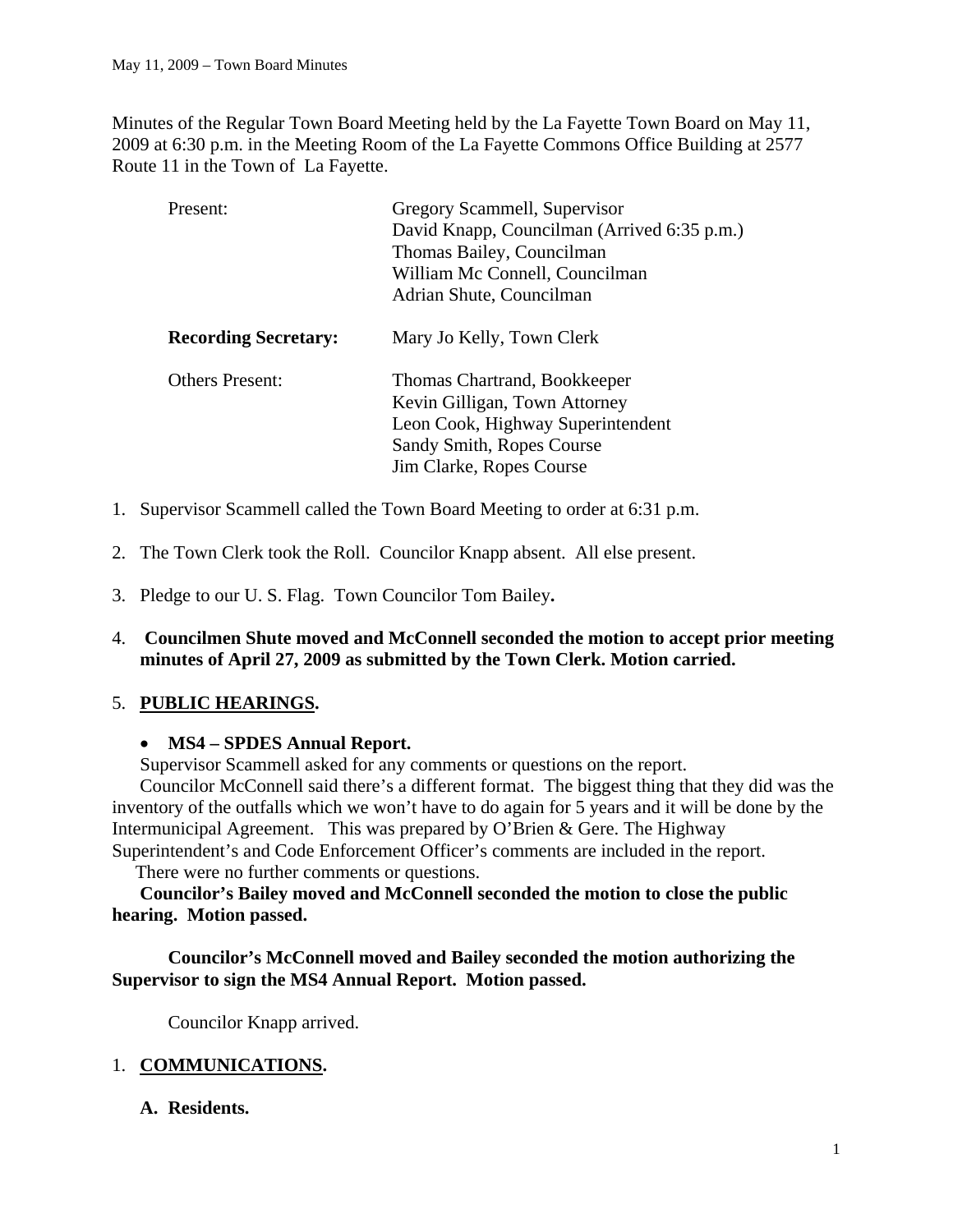Minutes of the Regular Town Board Meeting held by the La Fayette Town Board on May 11, 2009 at 6:30 p.m. in the Meeting Room of the La Fayette Commons Office Building at 2577 Route 11 in the Town of La Fayette.

| Present:                    | Gregory Scammell, Supervisor<br>David Knapp, Councilman (Arrived 6:35 p.m.)<br>Thomas Bailey, Councilman<br>William Mc Connell, Councilman<br>Adrian Shute, Councilman |
|-----------------------------|------------------------------------------------------------------------------------------------------------------------------------------------------------------------|
| <b>Recording Secretary:</b> | Mary Jo Kelly, Town Clerk                                                                                                                                              |
| <b>Others Present:</b>      | Thomas Chartrand, Bookkeeper<br>Kevin Gilligan, Town Attorney<br>Leon Cook, Highway Superintendent<br>Sandy Smith, Ropes Course<br>Jim Clarke, Ropes Course            |

- 1. Supervisor Scammell called the Town Board Meeting to order at 6:31 p.m.
- 2. The Town Clerk took the Roll. Councilor Knapp absent. All else present.
- 3. Pledge to our U. S. Flag. Town Councilor Tom Bailey**.**
- 4. **Councilmen Shute moved and McConnell seconded the motion to accept prior meeting minutes of April 27, 2009 as submitted by the Town Clerk. Motion carried.**

# 5. **PUBLIC HEARINGS.**

## • **MS4 – SPDES Annual Report.**

Supervisor Scammell asked for any comments or questions on the report.

Councilor McConnell said there's a different format. The biggest thing that they did was the inventory of the outfalls which we won't have to do again for 5 years and it will be done by the Intermunicipal Agreement. This was prepared by O'Brien & Gere. The Highway Superintendent's and Code Enforcement Officer's comments are included in the report.

There were no further comments or questions.

 **Councilor's Bailey moved and McConnell seconded the motion to close the public hearing. Motion passed.**

# **Councilor's McConnell moved and Bailey seconded the motion authorizing the Supervisor to sign the MS4 Annual Report. Motion passed.**

Councilor Knapp arrived.

# 1. **COMMUNICATIONS.**

# **A. Residents.**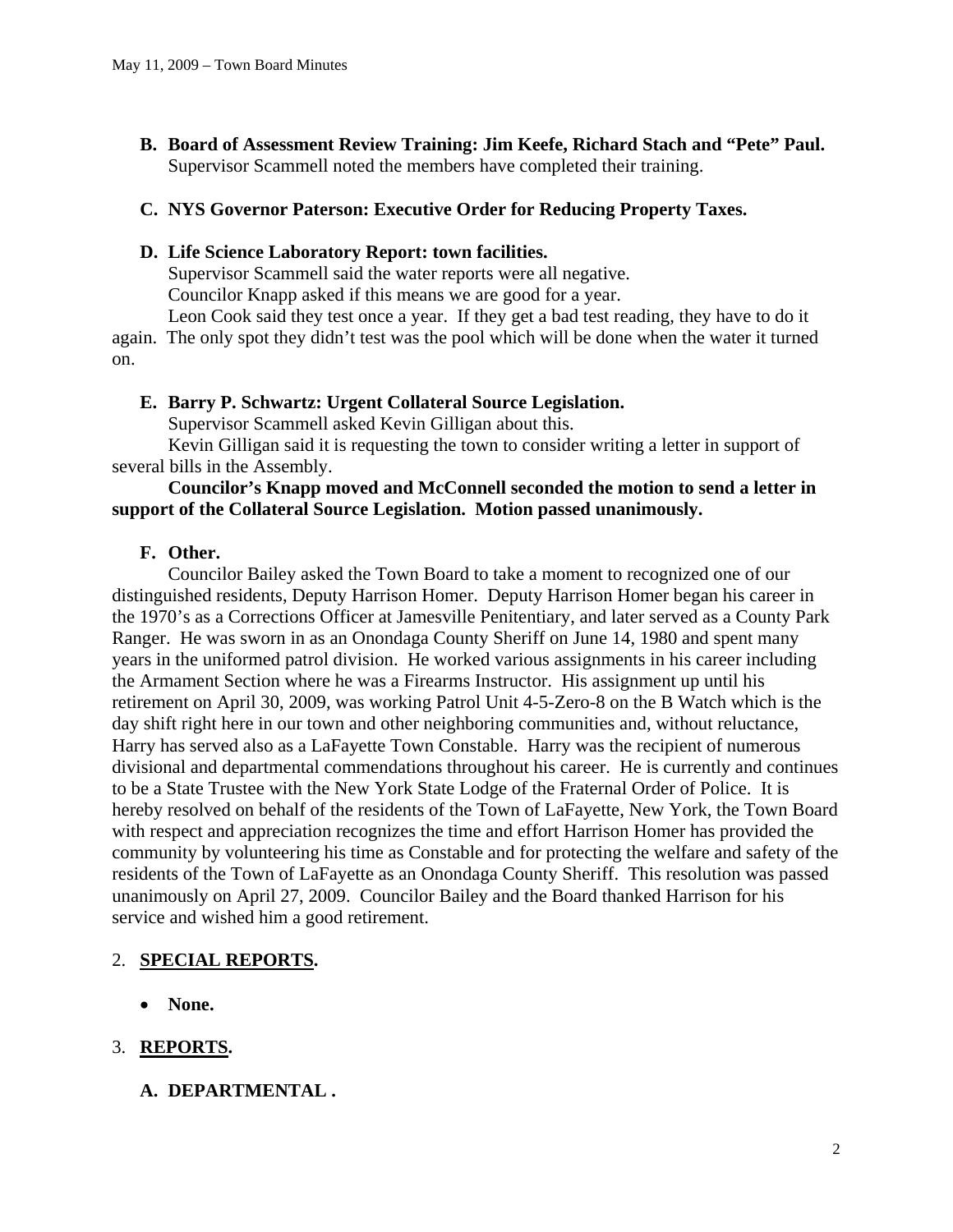**B. Board of Assessment Review Training: Jim Keefe, Richard Stach and "Pete" Paul.**  Supervisor Scammell noted the members have completed their training.

## **C. NYS Governor Paterson: Executive Order for Reducing Property Taxes.**

#### **D. Life Science Laboratory Report: town facilities.**

Supervisor Scammell said the water reports were all negative.

Councilor Knapp asked if this means we are good for a year.

Leon Cook said they test once a year. If they get a bad test reading, they have to do it again. The only spot they didn't test was the pool which will be done when the water it turned on.

#### **E. Barry P. Schwartz: Urgent Collateral Source Legislation.**

Supervisor Scammell asked Kevin Gilligan about this.

Kevin Gilligan said it is requesting the town to consider writing a letter in support of several bills in the Assembly.

## **Councilor's Knapp moved and McConnell seconded the motion to send a letter in support of the Collateral Source Legislation. Motion passed unanimously.**

## **F. Other.**

Councilor Bailey asked the Town Board to take a moment to recognized one of our distinguished residents, Deputy Harrison Homer. Deputy Harrison Homer began his career in the 1970's as a Corrections Officer at Jamesville Penitentiary, and later served as a County Park Ranger. He was sworn in as an Onondaga County Sheriff on June 14, 1980 and spent many years in the uniformed patrol division. He worked various assignments in his career including the Armament Section where he was a Firearms Instructor. His assignment up until his retirement on April 30, 2009, was working Patrol Unit 4-5-Zero-8 on the B Watch which is the day shift right here in our town and other neighboring communities and, without reluctance, Harry has served also as a LaFayette Town Constable. Harry was the recipient of numerous divisional and departmental commendations throughout his career. He is currently and continues to be a State Trustee with the New York State Lodge of the Fraternal Order of Police. It is hereby resolved on behalf of the residents of the Town of LaFayette, New York, the Town Board with respect and appreciation recognizes the time and effort Harrison Homer has provided the community by volunteering his time as Constable and for protecting the welfare and safety of the residents of the Town of LaFayette as an Onondaga County Sheriff. This resolution was passed unanimously on April 27, 2009. Councilor Bailey and the Board thanked Harrison for his service and wished him a good retirement.

# 2. **SPECIAL REPORTS.**

• **None.** 

# 3. **REPORTS.**

**A. DEPARTMENTAL .**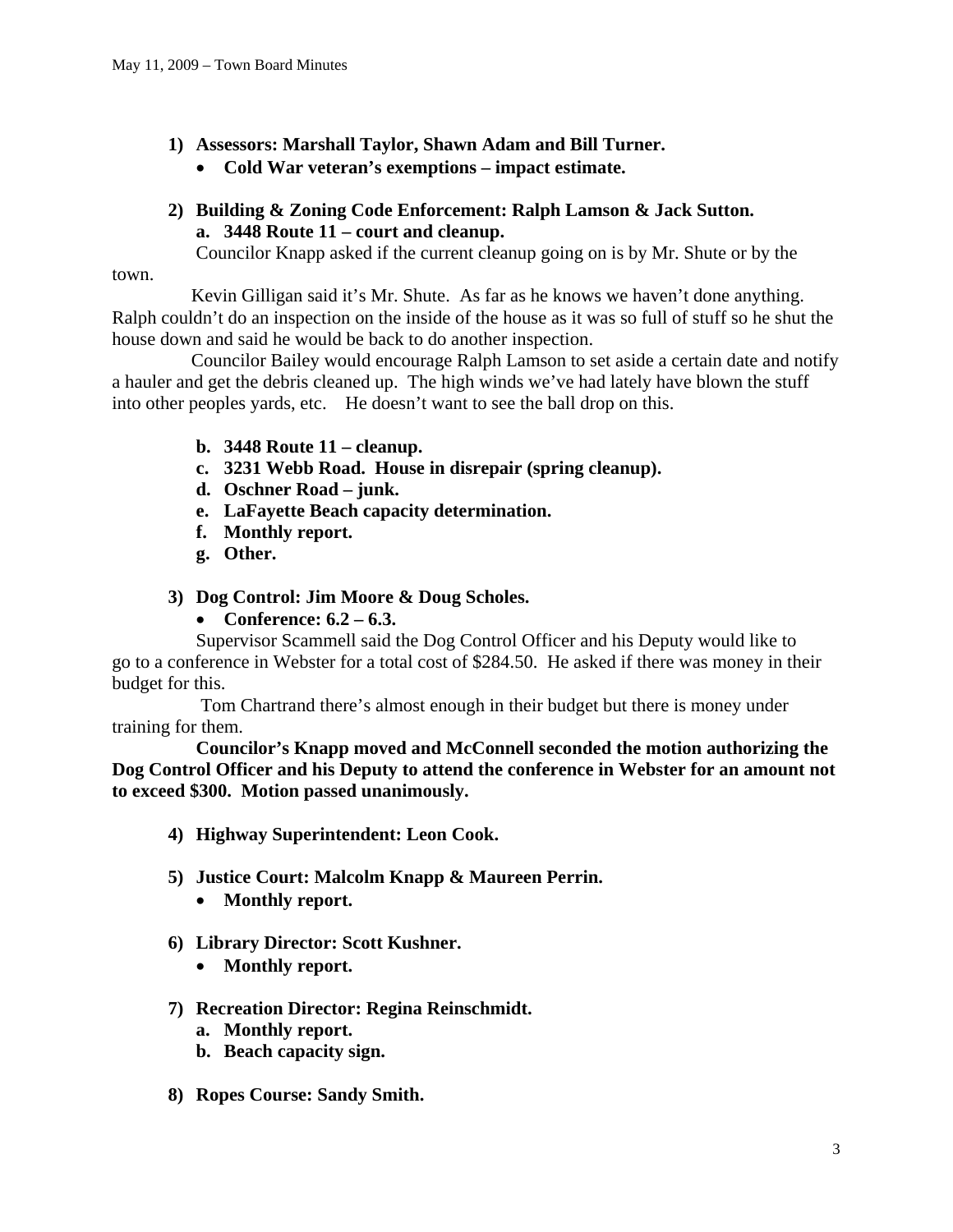- **1) Assessors: Marshall Taylor, Shawn Adam and Bill Turner.** 
	- **Cold War veteran's exemptions impact estimate.**

# **2) Building & Zoning Code Enforcement: Ralph Lamson & Jack Sutton. a. 3448 Route 11 – court and cleanup.**

Councilor Knapp asked if the current cleanup going on is by Mr. Shute or by the

town.

 Kevin Gilligan said it's Mr. Shute. As far as he knows we haven't done anything. Ralph couldn't do an inspection on the inside of the house as it was so full of stuff so he shut the house down and said he would be back to do another inspection.

 Councilor Bailey would encourage Ralph Lamson to set aside a certain date and notify a hauler and get the debris cleaned up. The high winds we've had lately have blown the stuff into other peoples yards, etc. He doesn't want to see the ball drop on this.

- **b. 3448 Route 11 cleanup.**
- **c. 3231 Webb Road. House in disrepair (spring cleanup).**
- **d. Oschner Road junk.**
- **e. LaFayette Beach capacity determination.**
- **f. Monthly report.**
- **g. Other.**
- **3) Dog Control: Jim Moore & Doug Scholes.** 
	- **Conference: 6.2 6.3.**

Supervisor Scammell said the Dog Control Officer and his Deputy would like to go to a conference in Webster for a total cost of \$284.50. He asked if there was money in their budget for this.

 Tom Chartrand there's almost enough in their budget but there is money under training for them.

 **Councilor's Knapp moved and McConnell seconded the motion authorizing the Dog Control Officer and his Deputy to attend the conference in Webster for an amount not to exceed \$300. Motion passed unanimously.** 

- **4) Highway Superintendent: Leon Cook.**
- **5) Justice Court: Malcolm Knapp & Maureen Perrin.** 
	- **Monthly report.**
- **6) Library Director: Scott Kushner.** 
	- **Monthly report.**

## **7) Recreation Director: Regina Reinschmidt.**

- **a. Monthly report.**
- **b. Beach capacity sign.**
- **8) Ropes Course: Sandy Smith.**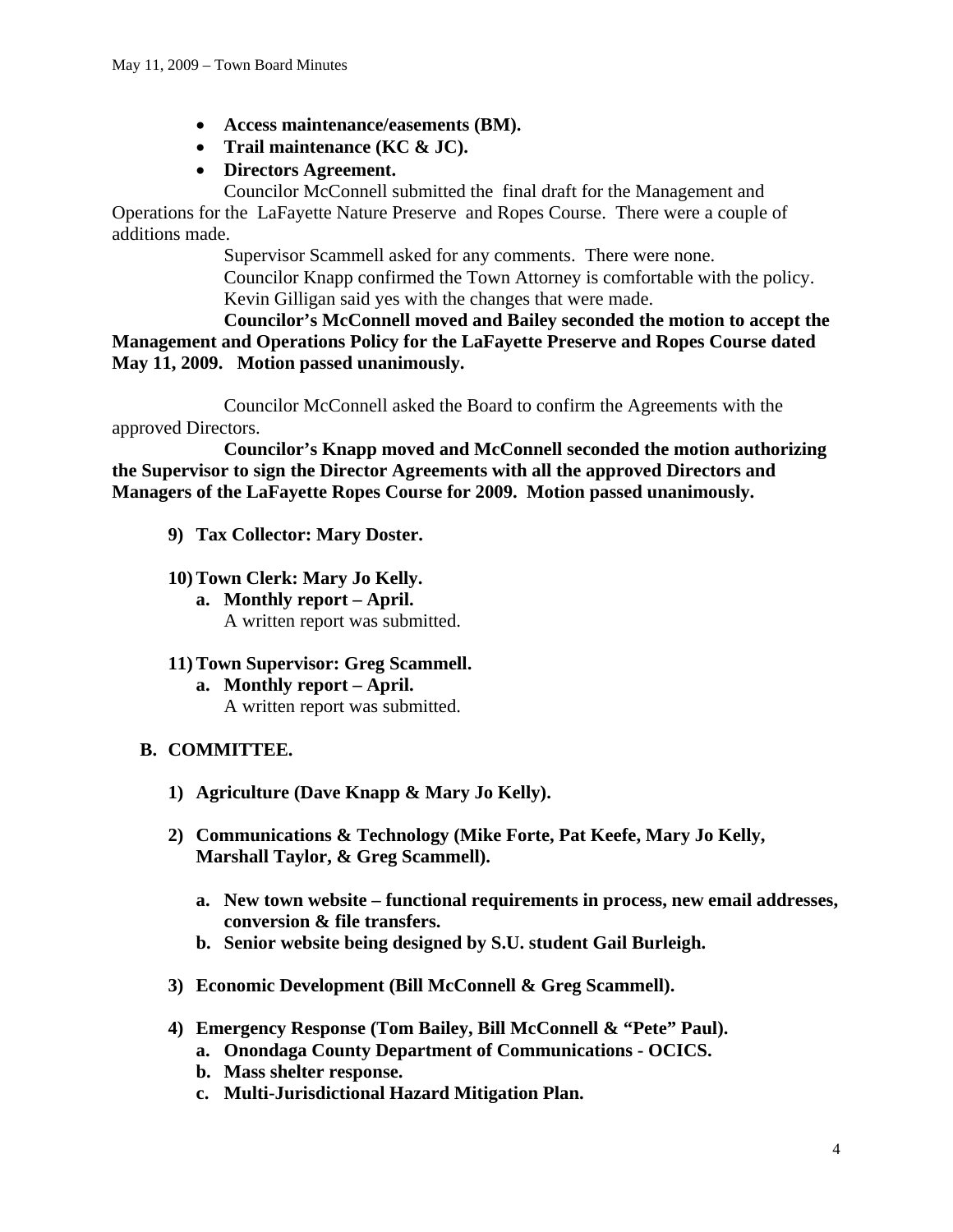- **Access maintenance/easements (BM).**
- **Trail maintenance (KC & JC).**
- **Directors Agreement.**

Councilor McConnell submitted the final draft for the Management and Operations for the LaFayette Nature Preserve and Ropes Course. There were a couple of additions made.

> Supervisor Scammell asked for any comments. There were none. Councilor Knapp confirmed the Town Attorney is comfortable with the policy. Kevin Gilligan said yes with the changes that were made.

 **Councilor's McConnell moved and Bailey seconded the motion to accept the Management and Operations Policy for the LaFayette Preserve and Ropes Course dated May 11, 2009. Motion passed unanimously.** 

Councilor McConnell asked the Board to confirm the Agreements with the approved Directors.

 **Councilor's Knapp moved and McConnell seconded the motion authorizing the Supervisor to sign the Director Agreements with all the approved Directors and Managers of the LaFayette Ropes Course for 2009. Motion passed unanimously.** 

- **9) Tax Collector: Mary Doster.**
- **10) Town Clerk: Mary Jo Kelly.** 
	- **a. Monthly report April.**  A written report was submitted.
- **11) Town Supervisor: Greg Scammell.** 
	- **a. Monthly report April.**  A written report was submitted.

## **B. COMMITTEE.**

- **1) Agriculture (Dave Knapp & Mary Jo Kelly).**
- **2) Communications & Technology (Mike Forte, Pat Keefe, Mary Jo Kelly, Marshall Taylor, & Greg Scammell).** 
	- **a. New town website functional requirements in process, new email addresses, conversion & file transfers.**
	- **b. Senior website being designed by S.U. student Gail Burleigh.**
- **3) Economic Development (Bill McConnell & Greg Scammell).**
- **4) Emergency Response (Tom Bailey, Bill McConnell & "Pete" Paul).** 
	- **a. Onondaga County Department of Communications OCICS.**
	- **b. Mass shelter response.**
	- **c. Multi-Jurisdictional Hazard Mitigation Plan.**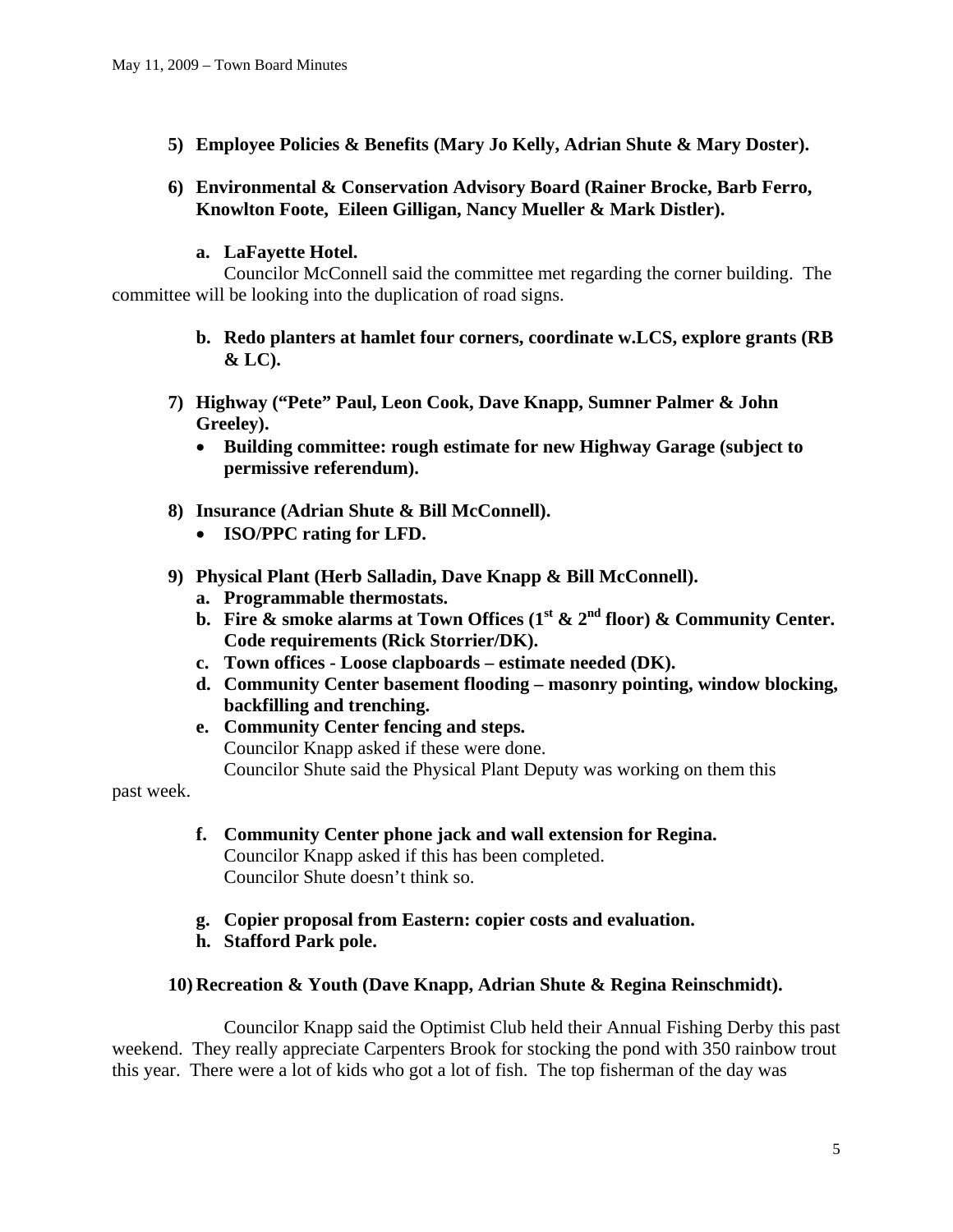**5) Employee Policies & Benefits (Mary Jo Kelly, Adrian Shute & Mary Doster).** 

## **6) Environmental & Conservation Advisory Board (Rainer Brocke, Barb Ferro, Knowlton Foote, Eileen Gilligan, Nancy Mueller & Mark Distler).**

## **a. LaFayette Hotel.**

Councilor McConnell said the committee met regarding the corner building. The committee will be looking into the duplication of road signs.

- **b. Redo planters at hamlet four corners, coordinate w.LCS, explore grants (RB & LC).**
- **7) Highway ("Pete" Paul, Leon Cook, Dave Knapp, Sumner Palmer & John Greeley).** 
	- **Building committee: rough estimate for new Highway Garage (subject to permissive referendum).**
- **8) Insurance (Adrian Shute & Bill McConnell).** 
	- **ISO/PPC rating for LFD.**
- **9) Physical Plant (Herb Salladin, Dave Knapp & Bill McConnell).** 
	- **a. Programmable thermostats.**
	- **b.** Fire  $\&$  smoke alarms at Town Offices (1<sup>st</sup>  $\&$  2<sup>nd</sup> floor)  $\&$  Community Center. **Code requirements (Rick Storrier/DK).**
	- **c. Town offices Loose clapboards estimate needed (DK).**
	- **d. Community Center basement flooding masonry pointing, window blocking, backfilling and trenching.**
	- **e. Community Center fencing and steps.**  Councilor Knapp asked if these were done. Councilor Shute said the Physical Plant Deputy was working on them this

past week.

- **f. Community Center phone jack and wall extension for Regina.**  Councilor Knapp asked if this has been completed. Councilor Shute doesn't think so.
- **g. Copier proposal from Eastern: copier costs and evaluation.**
- **h. Stafford Park pole.**

## **10) Recreation & Youth (Dave Knapp, Adrian Shute & Regina Reinschmidt).**

Councilor Knapp said the Optimist Club held their Annual Fishing Derby this past weekend. They really appreciate Carpenters Brook for stocking the pond with 350 rainbow trout this year. There were a lot of kids who got a lot of fish. The top fisherman of the day was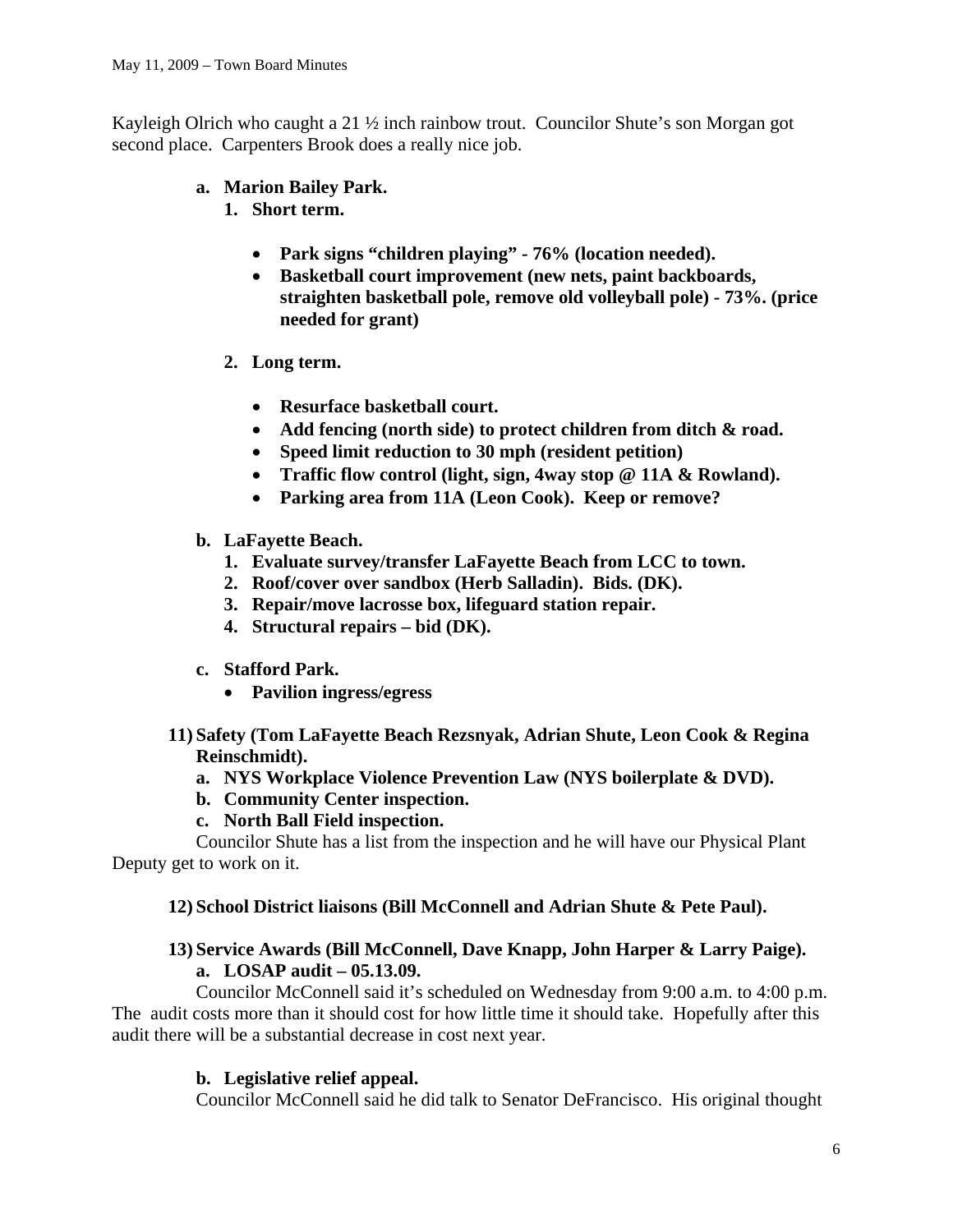Kayleigh Olrich who caught a 21 ½ inch rainbow trout. Councilor Shute's son Morgan got second place. Carpenters Brook does a really nice job.

- **a. Marion Bailey Park.** 
	- **1. Short term.** 
		- **Park signs "children playing" 76% (location needed).**
		- **Basketball court improvement (new nets, paint backboards, straighten basketball pole, remove old volleyball pole) - 73%. (price needed for grant)**
	- **2. Long term.** 
		- **Resurface basketball court.**
		- **Add fencing (north side) to protect children from ditch & road.**
		- **Speed limit reduction to 30 mph (resident petition)**
		- **Traffic flow control (light, sign, 4way stop @ 11A & Rowland).**
		- **Parking area from 11A (Leon Cook). Keep or remove?**
- **b. LaFayette Beach.** 
	- **1. Evaluate survey/transfer LaFayette Beach from LCC to town.**
	- **2. Roof/cover over sandbox (Herb Salladin). Bids. (DK).**
	- **3. Repair/move lacrosse box, lifeguard station repair.**
	- **4. Structural repairs bid (DK).**
- **c. Stafford Park.** 
	- **Pavilion ingress/egress**
- **11) Safety (Tom LaFayette Beach Rezsnyak, Adrian Shute, Leon Cook & Regina Reinschmidt).** 
	- **a. NYS Workplace Violence Prevention Law (NYS boilerplate & DVD).**
	- **b. Community Center inspection.**
	- **c. North Ball Field inspection.**

Councilor Shute has a list from the inspection and he will have our Physical Plant Deputy get to work on it.

# **12) School District liaisons (Bill McConnell and Adrian Shute & Pete Paul).**

# **13) Service Awards (Bill McConnell, Dave Knapp, John Harper & Larry Paige). a. LOSAP audit – 05.13.09.**

Councilor McConnell said it's scheduled on Wednesday from 9:00 a.m. to 4:00 p.m. The audit costs more than it should cost for how little time it should take. Hopefully after this audit there will be a substantial decrease in cost next year.

# **b. Legislative relief appeal.**

Councilor McConnell said he did talk to Senator DeFrancisco. His original thought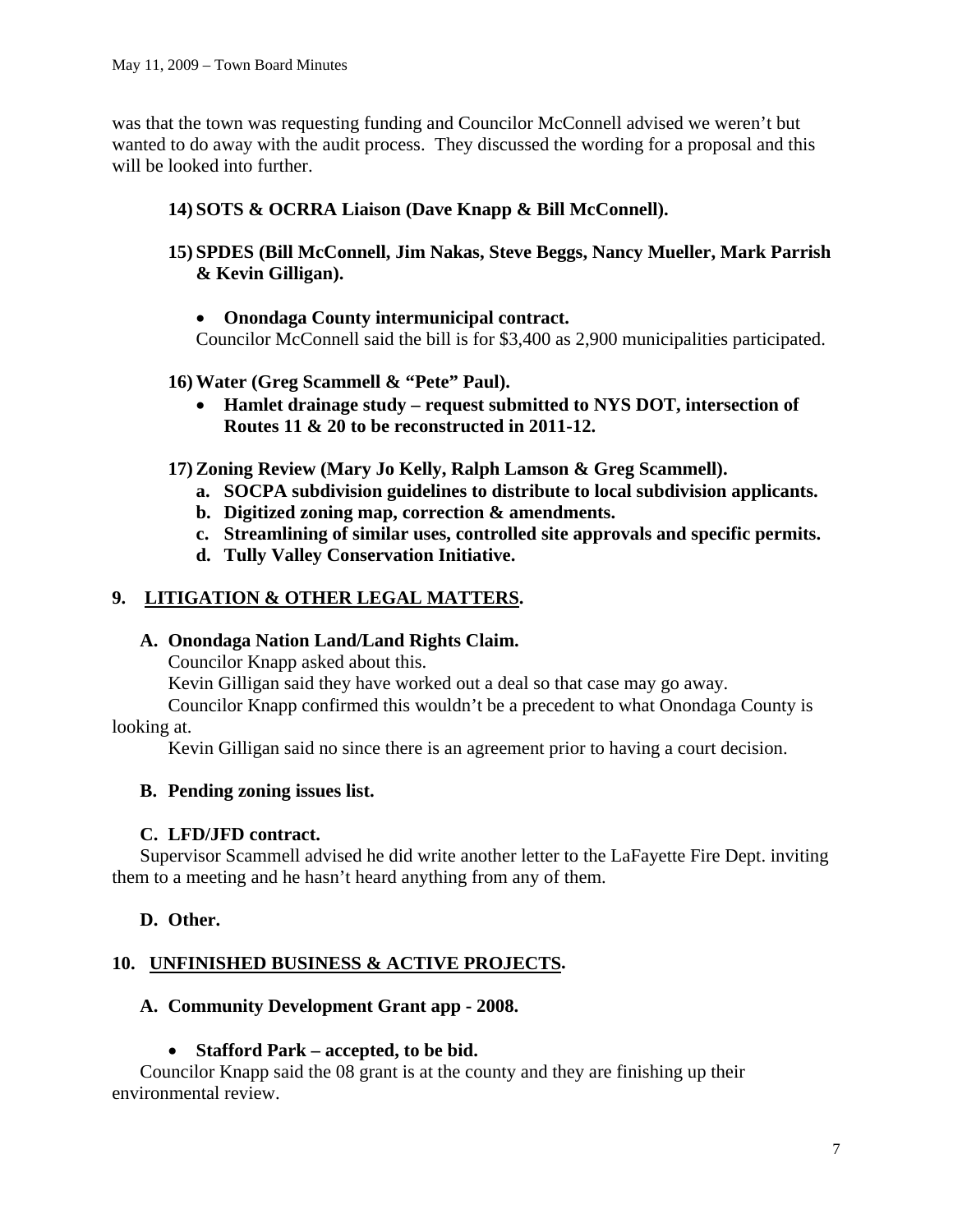was that the town was requesting funding and Councilor McConnell advised we weren't but wanted to do away with the audit process. They discussed the wording for a proposal and this will be looked into further.

# **14) SOTS & OCRRA Liaison (Dave Knapp & Bill McConnell).**

- **15) SPDES (Bill McConnell, Jim Nakas, Steve Beggs, Nancy Mueller, Mark Parrish & Kevin Gilligan).** 
	- **Onondaga County intermunicipal contract.**

Councilor McConnell said the bill is for \$3,400 as 2,900 municipalities participated.

- **16) Water (Greg Scammell & "Pete" Paul).** 
	- **Hamlet drainage study request submitted to NYS DOT, intersection of Routes 11 & 20 to be reconstructed in 2011-12.**
- **17) Zoning Review (Mary Jo Kelly, Ralph Lamson & Greg Scammell).** 
	- **a. SOCPA subdivision guidelines to distribute to local subdivision applicants.**
	- **b. Digitized zoning map, correction & amendments.**
	- **c. Streamlining of similar uses, controlled site approvals and specific permits.**
	- **d. Tully Valley Conservation Initiative.**

# **9. LITIGATION & OTHER LEGAL MATTERS.**

# **A. Onondaga Nation Land/Land Rights Claim.**

Councilor Knapp asked about this.

Kevin Gilligan said they have worked out a deal so that case may go away.

Councilor Knapp confirmed this wouldn't be a precedent to what Onondaga County is looking at.

Kevin Gilligan said no since there is an agreement prior to having a court decision.

# **B. Pending zoning issues list.**

# **C. LFD/JFD contract.**

Supervisor Scammell advised he did write another letter to the LaFayette Fire Dept. inviting them to a meeting and he hasn't heard anything from any of them.

# **D. Other.**

# **10. UNFINISHED BUSINESS & ACTIVE PROJECTS.**

# **A. Community Development Grant app - 2008.**

# • **Stafford Park – accepted, to be bid.**

Councilor Knapp said the 08 grant is at the county and they are finishing up their environmental review.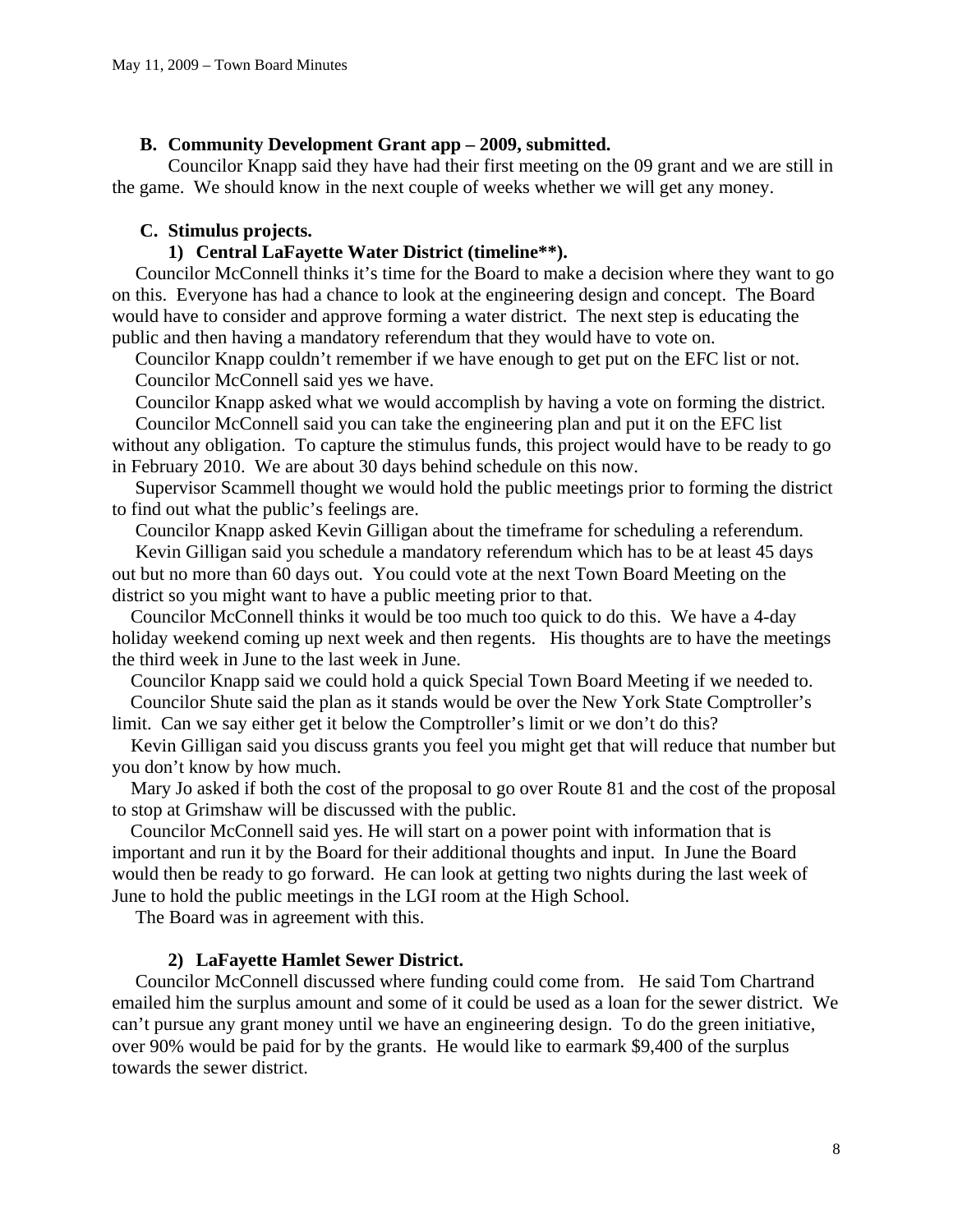#### **B. Community Development Grant app – 2009, submitted.**

Councilor Knapp said they have had their first meeting on the 09 grant and we are still in the game. We should know in the next couple of weeks whether we will get any money.

## **C. Stimulus projects.**

# **1) Central LaFayette Water District (timeline\*\*).**

Councilor McConnell thinks it's time for the Board to make a decision where they want to go on this. Everyone has had a chance to look at the engineering design and concept. The Board would have to consider and approve forming a water district. The next step is educating the public and then having a mandatory referendum that they would have to vote on.

 Councilor Knapp couldn't remember if we have enough to get put on the EFC list or not. Councilor McConnell said yes we have.

 Councilor Knapp asked what we would accomplish by having a vote on forming the district. Councilor McConnell said you can take the engineering plan and put it on the EFC list

without any obligation. To capture the stimulus funds, this project would have to be ready to go in February 2010. We are about 30 days behind schedule on this now.

 Supervisor Scammell thought we would hold the public meetings prior to forming the district to find out what the public's feelings are.

Councilor Knapp asked Kevin Gilligan about the timeframe for scheduling a referendum.

 Kevin Gilligan said you schedule a mandatory referendum which has to be at least 45 days out but no more than 60 days out. You could vote at the next Town Board Meeting on the district so you might want to have a public meeting prior to that.

 Councilor McConnell thinks it would be too much too quick to do this. We have a 4-day holiday weekend coming up next week and then regents. His thoughts are to have the meetings the third week in June to the last week in June.

Councilor Knapp said we could hold a quick Special Town Board Meeting if we needed to.

 Councilor Shute said the plan as it stands would be over the New York State Comptroller's limit. Can we say either get it below the Comptroller's limit or we don't do this?

 Kevin Gilligan said you discuss grants you feel you might get that will reduce that number but you don't know by how much.

 Mary Jo asked if both the cost of the proposal to go over Route 81 and the cost of the proposal to stop at Grimshaw will be discussed with the public.

 Councilor McConnell said yes. He will start on a power point with information that is important and run it by the Board for their additional thoughts and input. In June the Board would then be ready to go forward. He can look at getting two nights during the last week of June to hold the public meetings in the LGI room at the High School.

The Board was in agreement with this.

## **2) LaFayette Hamlet Sewer District.**

Councilor McConnell discussed where funding could come from. He said Tom Chartrand emailed him the surplus amount and some of it could be used as a loan for the sewer district. We can't pursue any grant money until we have an engineering design. To do the green initiative, over 90% would be paid for by the grants. He would like to earmark \$9,400 of the surplus towards the sewer district.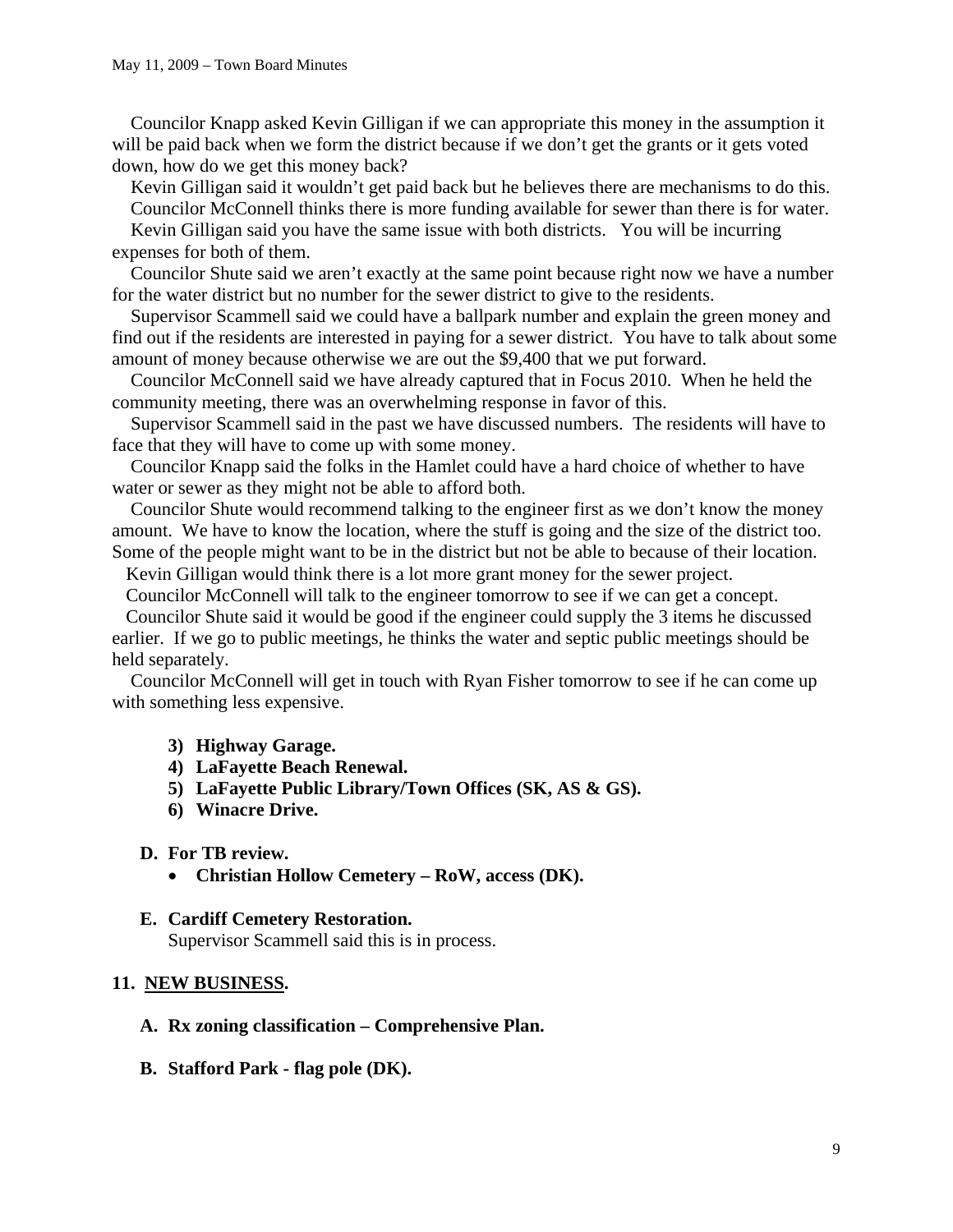Councilor Knapp asked Kevin Gilligan if we can appropriate this money in the assumption it will be paid back when we form the district because if we don't get the grants or it gets voted down, how do we get this money back?

 Kevin Gilligan said it wouldn't get paid back but he believes there are mechanisms to do this. Councilor McConnell thinks there is more funding available for sewer than there is for water.

 Kevin Gilligan said you have the same issue with both districts. You will be incurring expenses for both of them.

 Councilor Shute said we aren't exactly at the same point because right now we have a number for the water district but no number for the sewer district to give to the residents.

 Supervisor Scammell said we could have a ballpark number and explain the green money and find out if the residents are interested in paying for a sewer district. You have to talk about some amount of money because otherwise we are out the \$9,400 that we put forward.

 Councilor McConnell said we have already captured that in Focus 2010. When he held the community meeting, there was an overwhelming response in favor of this.

 Supervisor Scammell said in the past we have discussed numbers. The residents will have to face that they will have to come up with some money.

 Councilor Knapp said the folks in the Hamlet could have a hard choice of whether to have water or sewer as they might not be able to afford both.

 Councilor Shute would recommend talking to the engineer first as we don't know the money amount. We have to know the location, where the stuff is going and the size of the district too. Some of the people might want to be in the district but not be able to because of their location.

Kevin Gilligan would think there is a lot more grant money for the sewer project.

Councilor McConnell will talk to the engineer tomorrow to see if we can get a concept.

 Councilor Shute said it would be good if the engineer could supply the 3 items he discussed earlier. If we go to public meetings, he thinks the water and septic public meetings should be held separately.

 Councilor McConnell will get in touch with Ryan Fisher tomorrow to see if he can come up with something less expensive.

- **3) Highway Garage.**
- **4) LaFayette Beach Renewal.**
- **5) LaFayette Public Library/Town Offices (SK, AS & GS).**
- **6) Winacre Drive.**

#### **D. For TB review.**

• **Christian Hollow Cemetery – RoW, access (DK).** 

# **E. Cardiff Cemetery Restoration.**

Supervisor Scammell said this is in process.

## **11. NEW BUSINESS.**

- **A. Rx zoning classification Comprehensive Plan.**
- **B. Stafford Park flag pole (DK).**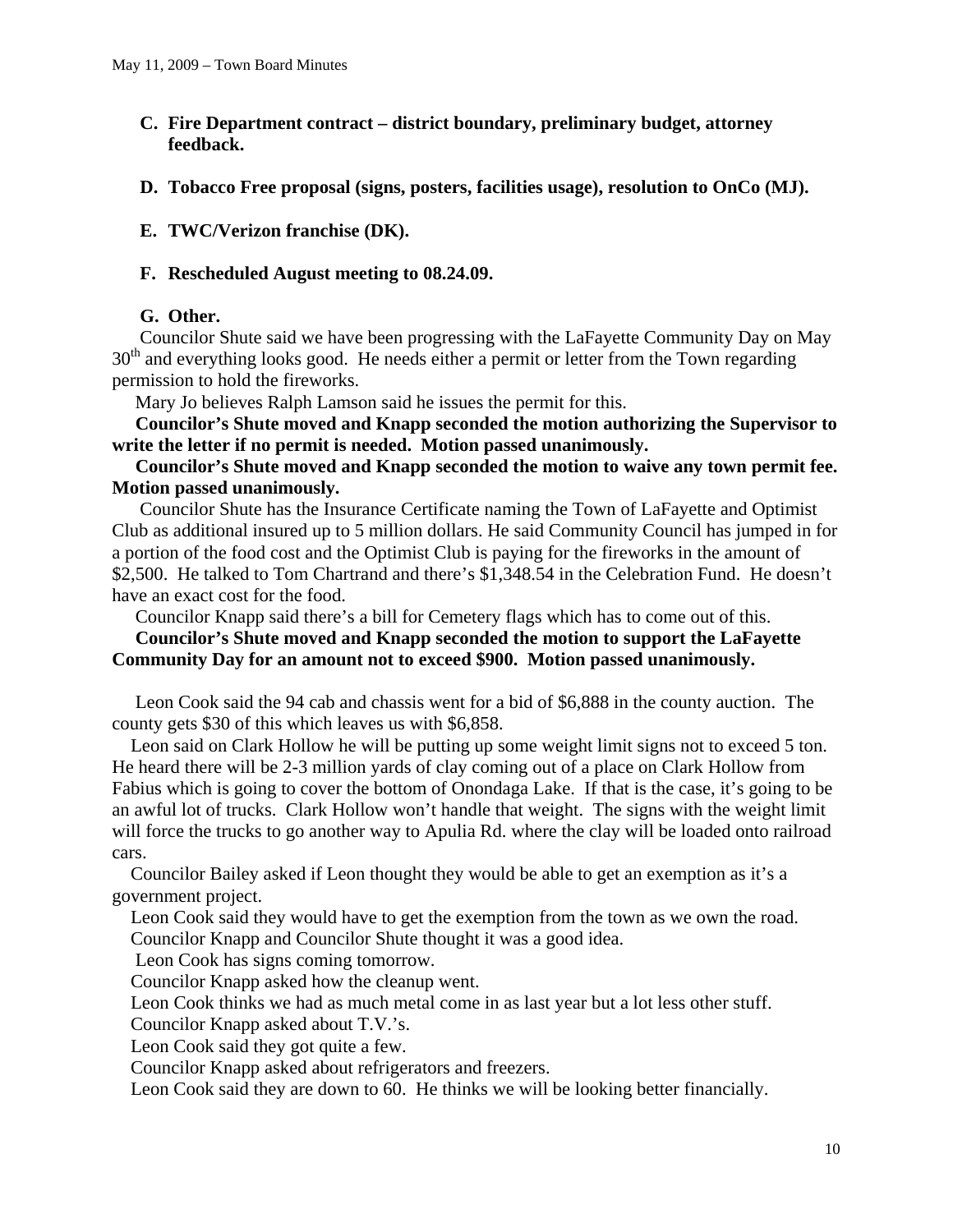- **C. Fire Department contract district boundary, preliminary budget, attorney feedback.**
- **D. Tobacco Free proposal (signs, posters, facilities usage), resolution to OnCo (MJ).**

# **E. TWC/Verizon franchise (DK).**

## **F. Rescheduled August meeting to 08.24.09.**

## **G. Other.**

Councilor Shute said we have been progressing with the LaFayette Community Day on May 30<sup>th</sup> and everything looks good. He needs either a permit or letter from the Town regarding permission to hold the fireworks.

Mary Jo believes Ralph Lamson said he issues the permit for this.

 **Councilor's Shute moved and Knapp seconded the motion authorizing the Supervisor to write the letter if no permit is needed. Motion passed unanimously.** 

 **Councilor's Shute moved and Knapp seconded the motion to waive any town permit fee. Motion passed unanimously.** 

 Councilor Shute has the Insurance Certificate naming the Town of LaFayette and Optimist Club as additional insured up to 5 million dollars. He said Community Council has jumped in for a portion of the food cost and the Optimist Club is paying for the fireworks in the amount of \$2,500. He talked to Tom Chartrand and there's \$1,348.54 in the Celebration Fund. He doesn't have an exact cost for the food.

Councilor Knapp said there's a bill for Cemetery flags which has to come out of this.

## **Councilor's Shute moved and Knapp seconded the motion to support the LaFayette Community Day for an amount not to exceed \$900. Motion passed unanimously.**

 Leon Cook said the 94 cab and chassis went for a bid of \$6,888 in the county auction. The county gets \$30 of this which leaves us with \$6,858.

 Leon said on Clark Hollow he will be putting up some weight limit signs not to exceed 5 ton. He heard there will be 2-3 million yards of clay coming out of a place on Clark Hollow from Fabius which is going to cover the bottom of Onondaga Lake. If that is the case, it's going to be an awful lot of trucks. Clark Hollow won't handle that weight. The signs with the weight limit will force the trucks to go another way to Apulia Rd. where the clay will be loaded onto railroad cars.

 Councilor Bailey asked if Leon thought they would be able to get an exemption as it's a government project.

 Leon Cook said they would have to get the exemption from the town as we own the road. Councilor Knapp and Councilor Shute thought it was a good idea.

Leon Cook has signs coming tomorrow.

Councilor Knapp asked how the cleanup went.

Leon Cook thinks we had as much metal come in as last year but a lot less other stuff.

Councilor Knapp asked about T.V.'s.

Leon Cook said they got quite a few.

Councilor Knapp asked about refrigerators and freezers.

Leon Cook said they are down to 60. He thinks we will be looking better financially.